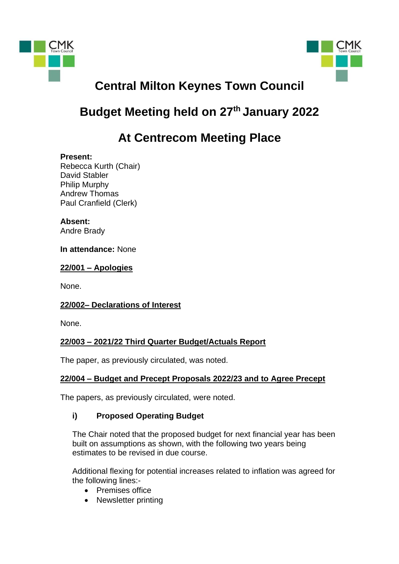



# **Central Milton Keynes Town Council**

## **Budget Meeting held on 27 th January 2022**

## **At Centrecom Meeting Place**

#### **Present:**

Rebecca Kurth (Chair) David Stabler Philip Murphy Andrew Thomas Paul Cranfield (Clerk)

### **Absent:**

Andre Brady

#### **In attendance:** None

#### **22/001 – Apologies**

None.

#### **22/002– Declarations of Interest**

None.

#### **22/003 – 2021/22 Third Quarter Budget/Actuals Report**

The paper, as previously circulated, was noted.

## **22/004 – Budget and Precept Proposals 2022/23 and to Agree Precept**

The papers, as previously circulated, were noted.

#### **i) Proposed Operating Budget**

The Chair noted that the proposed budget for next financial year has been built on assumptions as shown, with the following two years being estimates to be revised in due course.

Additional flexing for potential increases related to inflation was agreed for the following lines:-

- Premises office
- Newsletter printing